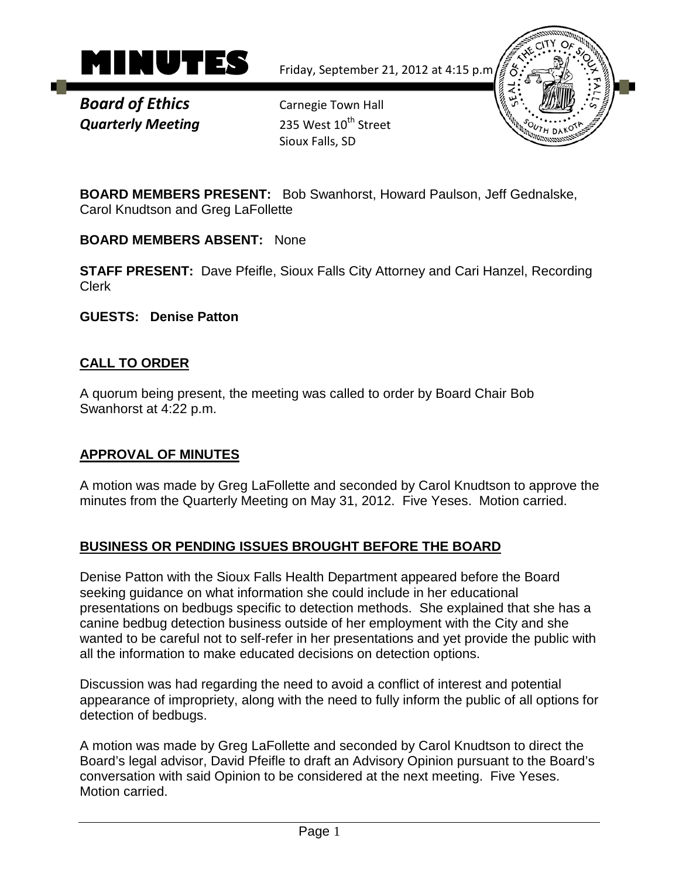

*Board of Ethics* Carnegie Town Hall **Quarterly Meeting** 235 West 10<sup>th</sup> Street

Sioux Falls, SD



**BOARD MEMBERS PRESENT:** Bob Swanhorst, Howard Paulson, Jeff Gednalske, Carol Knudtson and Greg LaFollette

**BOARD MEMBERS ABSENT:** None

**STAFF PRESENT:** Dave Pfeifle, Sioux Falls City Attorney and Cari Hanzel, Recording Clerk

**GUESTS: Denise Patton**

## **CALL TO ORDER**

A quorum being present, the meeting was called to order by Board Chair Bob Swanhorst at 4:22 p.m.

### **APPROVAL OF MINUTES**

A motion was made by Greg LaFollette and seconded by Carol Knudtson to approve the minutes from the Quarterly Meeting on May 31, 2012. Five Yeses. Motion carried.

# **BUSINESS OR PENDING ISSUES BROUGHT BEFORE THE BOARD**

Denise Patton with the Sioux Falls Health Department appeared before the Board seeking guidance on what information she could include in her educational presentations on bedbugs specific to detection methods. She explained that she has a canine bedbug detection business outside of her employment with the City and she wanted to be careful not to self-refer in her presentations and yet provide the public with all the information to make educated decisions on detection options.

Discussion was had regarding the need to avoid a conflict of interest and potential appearance of impropriety, along with the need to fully inform the public of all options for detection of bedbugs.

A motion was made by Greg LaFollette and seconded by Carol Knudtson to direct the Board's legal advisor, David Pfeifle to draft an Advisory Opinion pursuant to the Board's conversation with said Opinion to be considered at the next meeting. Five Yeses. Motion carried.